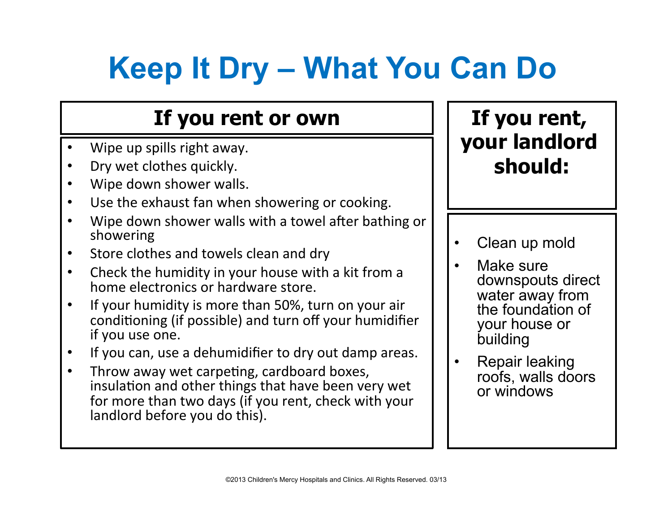# **Keep It Dry – What You Can Do**

### **If you rent or own**

- Wipe up spills right away.
- Dry wet clothes quickly.
- Wipe down shower walls.
- Use the exhaust fan when showering or cooking.
- Wipe down shower walls with a towel after bathing or showering
- Store clothes and towels clean and dry
- Check the humidity in your house with a kit from a home electronics or hardware store.
- If your humidity is more than 50%, turn on your air conditioning (if possible) and turn off your humidifier if you use one.
- If you can, use a dehumidifier to dry out damp areas.
- Throw away wet carpeting, cardboard boxes, insulation and other things that have been very wet for more than two days (if you rent, check with your landlord before you do this).

- Clean up mold
- Make sure downspouts direct water away from the foundation of your house or building
- Repair leaking roofs, walls doors or windows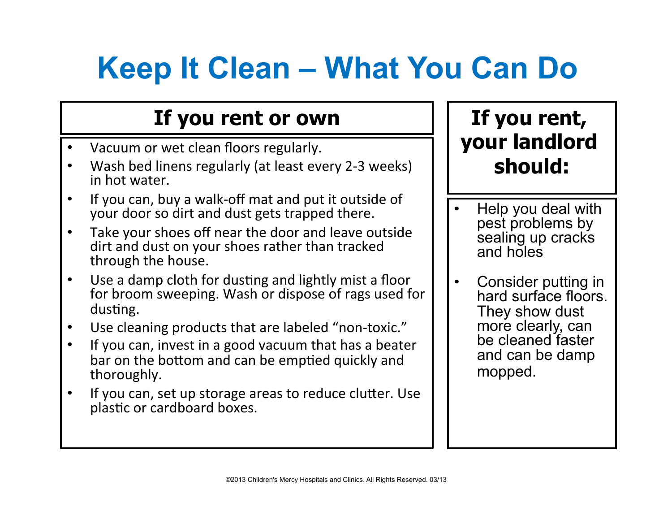# **Keep It Clean – What You Can Do**

### **If you rent or own**

- Vacuum or wet clean floors regularly.
- Wash bed linens regularly (at least every 2-3 weeks) in hot water.
- If you can, buy a walk-off mat and put it outside of your door so dirt and dust gets trapped there.
- Take your shoes off near the door and leave outside dirt and dust on your shoes rather than tracked through the house.
- Use a damp cloth for dusting and lightly mist a floor for broom sweeping. Wash or dispose of rags used for dusting.
- Use cleaning products that are labeled "non-toxic."
- If you can, invest in a good vacuum that has a beater bar on the bottom and can be emptied quickly and thoroughly.
- If you can, set up storage areas to reduce clutter. Use plastic or cardboard boxes.

- Help you deal with pest problems by sealing up cracks and holes
- Consider putting in hard surface floors. They show dust more clearly, can be cleaned faster and can be damp mopped.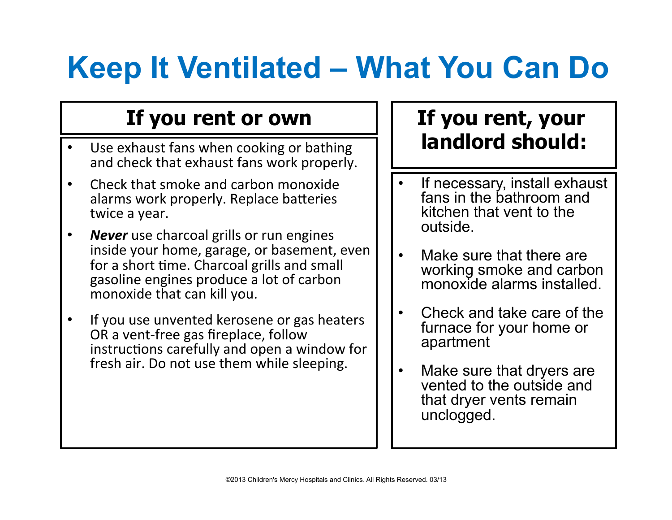# **Keep It Ventilated – What You Can Do**

#### **If you rent or own**

- Use exhaust fans when cooking or bathing and check that exhaust fans work properly.
- Check that smoke and carbon monoxide alarms work properly. Replace batteries twice a year.
- **Never** use charcoal grills or run engines inside your home, garage, or basement, even for a short time. Charcoal grills and small gasoline engines produce a lot of carbon monoxide that can kill you.
- If you use unvented kerosene or gas heaters OR a vent-free gas fireplace, follow instructions carefully and open a window for fresh air. Do not use them while sleeping.

- If necessary, install exhaust fans in the bathroom and kitchen that vent to the outside.
- Make sure that there are working smoke and carbon monoxide alarms installed.
- Check and take care of the furnace for your home or apartment
- Make sure that dryers are vented to the outside and that dryer vents remain unclogged.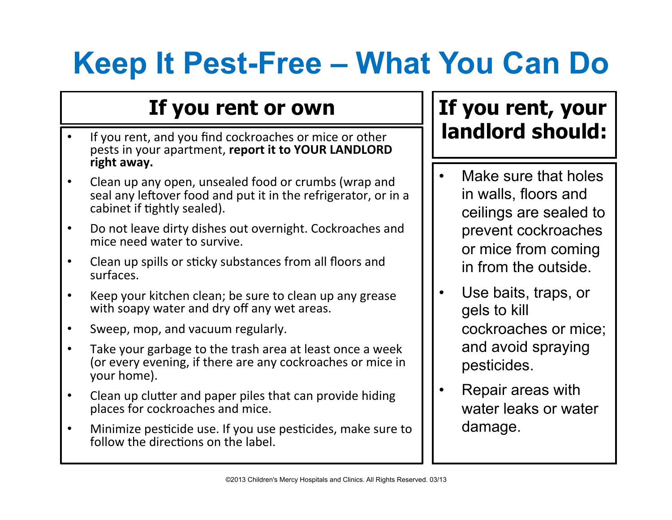## **Keep It Pest-Free – What You Can Do**

### **If you rent or own**

- If you rent, and you find cockroaches or mice or other pests in your apartment, report it to YOUR LANDLORD right away.
- Clean up any open, unsealed food or crumbs (wrap and seal any leftover food and put it in the refrigerator, or in a cabinet if tightly sealed).
- Do not leave dirty dishes out overnight. Cockroaches and mice need water to survive.
- Clean up spills or sticky substances from all floors and surfaces.
- Keep your kitchen clean; be sure to clean up any grease with soapy water and dry off any wet areas.
- Sweep, mop, and vacuum regularly.
- Take your garbage to the trash area at least once a week (or every evening, if there are any cockroaches or mice in your home).
- Clean up clutter and paper piles that can provide hiding places for cockroaches and mice.
- Minimize pesticide use. If you use pesticides, make sure to follow the directions on the label.

- Make sure that holes in walls, floors and ceilings are sealed to prevent cockroaches or mice from coming in from the outside.
- Use baits, traps, or gels to kill cockroaches or mice; and avoid spraying pesticides.
- Repair areas with water leaks or water damage.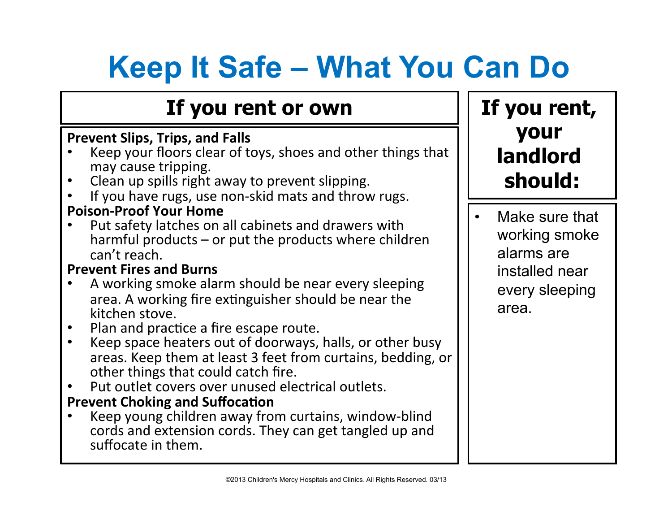# **Keep It Safe – What You Can Do**

#### **If you rent or own**

#### **Prevent Slips, Trips, and Falls**

- Keep your floors clear of toys, shoes and other things that
- may cause tripping.<br>Clean up spills right away to prevent slipping.
- If you have rugs, use non-skid mats and throw rugs.

#### **Poison-Proof Your Home**

Put safety latches on all cabinets and drawers with harmful products  $-$  or put the products where children can't reach.

#### **Prevent Fires and Burns**

- A working smoke alarm should be near every sleeping area. A working fire extinguisher should be near the kitchen stove.
- 
- Plan and practice a fire escape route.<br>Keep space heaters out of doorways, halls, or other busy areas. Keep them at least 3 feet from curtains, bedding, or other things that could catch fire.
- Put outlet covers over unused electrical outlets. **Prevent Choking and Suffocation**
- Keep young children away from curtains, window-blind cords and extension cords. They can get tangled up and suffocate in them.

### **If you rent, your landlord should:**

Make sure that working smoke alarms are installed near every sleeping area.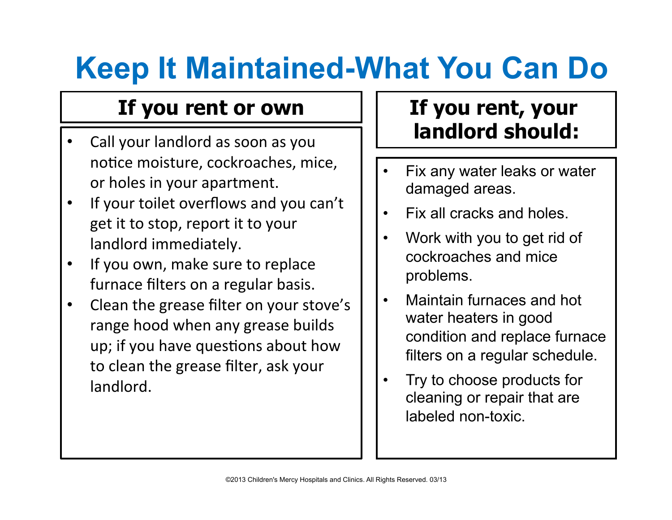# **Keep It Maintained-What You Can Do**

#### **If you rent or own**

- Call your landlord as soon as you notice moisture, cockroaches, mice, or holes in your apartment.
- If your toilet overflows and you can't get it to stop, report it to your landlord immediately.
- If you own, make sure to replace furnace filters on a regular basis.
- Clean the grease filter on your stove's range hood when any grease builds up; if you have questions about how to clean the grease filter, ask your landlord.

- Fix any water leaks or water damaged areas.
- Fix all cracks and holes.
- Work with you to get rid of cockroaches and mice problems.
- Maintain furnaces and hot water heaters in good condition and replace furnace filters on a regular schedule.
- Try to choose products for cleaning or repair that are labeled non-toxic.